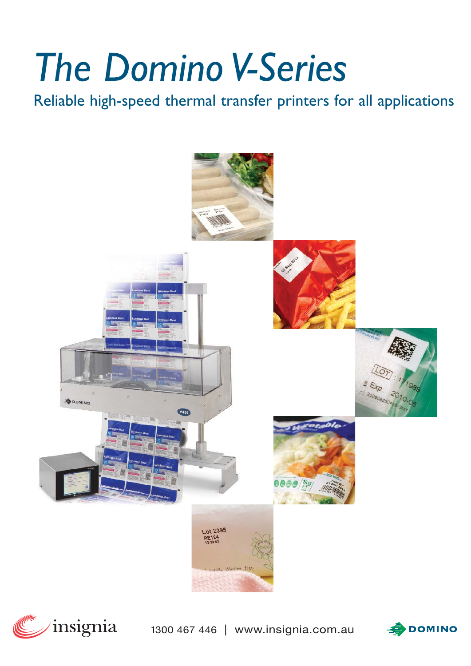# *The Domino V-Series*

Reliable high-speed thermal transfer printers for all applications





1300 467 446 | www.insignia.com.au

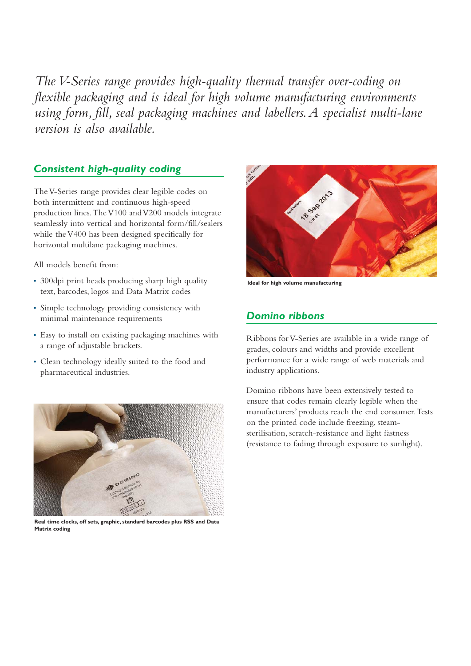*The V-Series range provides high-quality thermal transfer over-coding on flexible packaging and is ideal for high volume manufacturing environments using form, fill, seal packaging machines and labellers.A specialist multi-lane version is also available.*

#### *Consistent high-quality coding*

The V-Series range provides clear legible codes on both intermittent and continuous high-speed production lines.The V100 and V200 models integrate seamlessly into vertical and horizontal form/fill/sealers while the V400 has been designed specifically for horizontal multilane packaging machines.

All models benefit from:

- 300dpi print heads producing sharp high quality text, barcodes, logos and Data Matrix codes
- Simple technology providing consistency with minimal maintenance requirements
- Easy to install on existing packaging machines with a range of adjustable brackets.
- Clean technology ideally suited to the food and pharmaceutical industries.



**Real time clocks, off sets, graphic, standard barcodes plus RSS and Data Matrix coding**



**Ideal for high volume manufacturing**

# *Domino ribbons*

Ribbons for V-Series are available in a wide range of grades, colours and widths and provide excellent performance for a wide range of web materials and industry applications.

Domino ribbons have been extensively tested to ensure that codes remain clearly legible when the manufacturers' products reach the end consumer.Tests on the printed code include freezing, steamsterilisation, scratch-resistance and light fastness (resistance to fading through exposure to sunlight).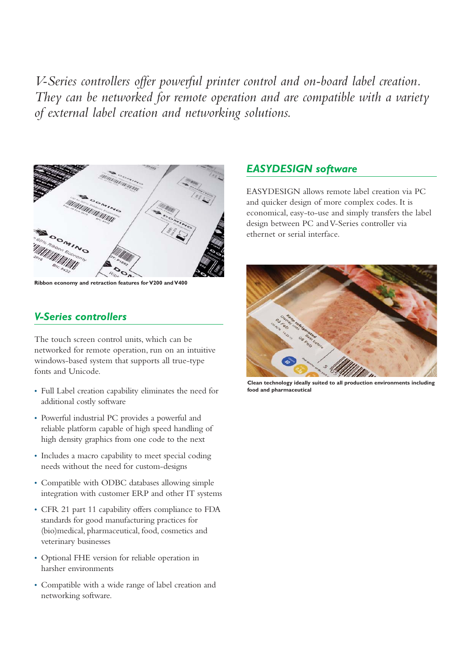*V-Series controllers offer powerful printer control and on-board label creation. They can be networked for remote operation and are compatible with a variety of external label creation and networking solutions.*



**Ribbon economy and retraction features for V200 and V400**

#### *V-Series controllers*

The touch screen control units, which can be networked for remote operation, run on an intuitive windows-based system that supports all true-type fonts and Unicode.

- Full Label creation capability eliminates the need for additional costly software
- Powerful industrial PC provides a powerful and reliable platform capable of high speed handling of high density graphics from one code to the next
- Includes a macro capability to meet special coding needs without the need for custom-designs
- Compatible with ODBC databases allowing simple integration with customer ERP and other IT systems
- CFR 21 part 11 capability offers compliance to FDA standards for good manufacturing practices for (bio)medical, pharmaceutical, food, cosmetics and veterinary businesses
- Optional FHE version for reliable operation in harsher environments
- Compatible with a wide range of label creation and networking software.

#### *EASYDESIGN software*

EASYDESIGN allows remote label creation via PC and quicker design of more complex codes. It is economical, easy-to-use and simply transfers the label design between PC and V-Series controller via ethernet or serial interface.



**Clean technology ideally suited to all production environments including food and pharmaceutical**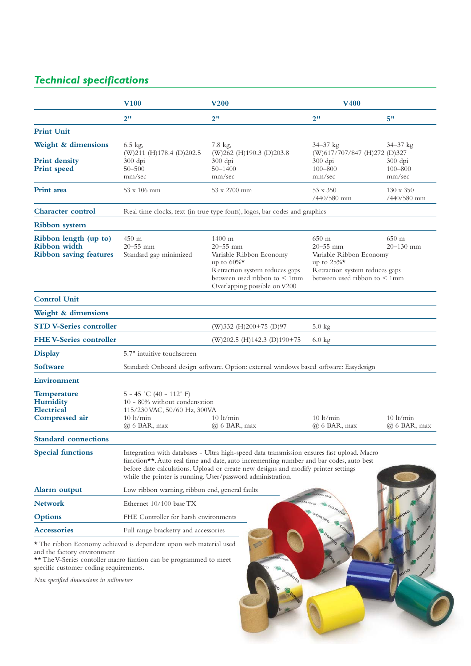# *Technical specifications*

|                                                                              | $\bf V100$                                                                                                                                                                                                                                                                                                                                | <b>V200</b>                                                                                                                                                                                | <b>V400</b>                                                                                                                                                                                         |                                                    |
|------------------------------------------------------------------------------|-------------------------------------------------------------------------------------------------------------------------------------------------------------------------------------------------------------------------------------------------------------------------------------------------------------------------------------------|--------------------------------------------------------------------------------------------------------------------------------------------------------------------------------------------|-----------------------------------------------------------------------------------------------------------------------------------------------------------------------------------------------------|----------------------------------------------------|
|                                                                              | 2"                                                                                                                                                                                                                                                                                                                                        | 2"                                                                                                                                                                                         | 2"                                                                                                                                                                                                  | 5"                                                 |
| <b>Print Unit</b>                                                            |                                                                                                                                                                                                                                                                                                                                           |                                                                                                                                                                                            |                                                                                                                                                                                                     |                                                    |
| Weight & dimensions<br><b>Print density</b><br><b>Print</b> speed            | $6.5$ kg,<br>$(W)211$ (H)178.4 (D)202.5<br>$300$ dpi<br>$50 - 500$<br>mm/sec                                                                                                                                                                                                                                                              | 7.8 kg,<br>(W)262 (H)190.3 (D)203.8<br>$300$ dpi<br>$50 - 1400$<br>mm/sec                                                                                                                  | $34 - 37$ kg<br>(W)617/707/847 (H)272 (D)327<br>$300$ dpi<br>$100 - 800$<br>mm/sec                                                                                                                  | $34 - 37$ kg<br>$300$ dpi<br>$100 - 800$<br>mm/sec |
| <b>Print</b> area                                                            | $53 \times 106$ mm                                                                                                                                                                                                                                                                                                                        | $53 \times 2700$ mm                                                                                                                                                                        | $53 \times 350$<br>$/440/580$ mm                                                                                                                                                                    | $130 \times 350$<br>/440/580 mm                    |
| <b>Character control</b>                                                     | Real time clocks, text (in true type fonts), logos, bar codes and graphics                                                                                                                                                                                                                                                                |                                                                                                                                                                                            |                                                                                                                                                                                                     |                                                    |
| <b>Ribbon</b> system                                                         |                                                                                                                                                                                                                                                                                                                                           |                                                                                                                                                                                            |                                                                                                                                                                                                     |                                                    |
| Ribbon length (up to)<br>Ribbon width<br><b>Ribbon saving features</b>       | 450 <sub>m</sub><br>$20 - 55$ mm<br>Standard gap minimized                                                                                                                                                                                                                                                                                | $1400 \text{ m}$<br>$20 - 55$ mm<br>Variable Ribbon Economy<br>up to $60\%$ <sup>*</sup><br>Retraction system reduces gaps<br>between used ribbon to < 1mm<br>Overlapping possible on V200 | $650 \text{ m}$<br>$650 \text{ m}$<br>$20 - 55$ mm<br>$20 - 130$ mm<br>Variable Ribbon Economy<br>up to $25\%$ <sup>*</sup><br>Retraction system reduces gaps<br>between used ribbon to $\leq 1$ mm |                                                    |
| <b>Control Unit</b>                                                          |                                                                                                                                                                                                                                                                                                                                           |                                                                                                                                                                                            |                                                                                                                                                                                                     |                                                    |
| Weight & dimensions                                                          |                                                                                                                                                                                                                                                                                                                                           |                                                                                                                                                                                            |                                                                                                                                                                                                     |                                                    |
| <b>STD V-Series controller</b>                                               |                                                                                                                                                                                                                                                                                                                                           | (W)332 (H)200+75 (D)97                                                                                                                                                                     | $5.0 \text{ kg}$                                                                                                                                                                                    |                                                    |
| <b>FHE V-Series controller</b>                                               |                                                                                                                                                                                                                                                                                                                                           | $(W)202.5$ (H)142.3 (D)190+75                                                                                                                                                              | $6.0 \text{ kg}$                                                                                                                                                                                    |                                                    |
| <b>Display</b>                                                               | 5.7" intuitive touchscreen                                                                                                                                                                                                                                                                                                                |                                                                                                                                                                                            |                                                                                                                                                                                                     |                                                    |
| <b>Software</b>                                                              | Standard: Onboard design software. Option: external windows based software: Easydesign                                                                                                                                                                                                                                                    |                                                                                                                                                                                            |                                                                                                                                                                                                     |                                                    |
| Environment                                                                  |                                                                                                                                                                                                                                                                                                                                           |                                                                                                                                                                                            |                                                                                                                                                                                                     |                                                    |
| <b>Temperature</b><br><b>Humidity</b><br><b>Electrical</b><br>Compressed air | $5 - 45$ °C (40 - 112° F)<br>10 - 80% without condensation<br>115/230 VAC, 50/60 Hz, 300VA<br>$10$ lt/min<br>$10 \text{lt/min}$<br>$10$ lt/min<br>$10 \text{lt/min}$<br>$(a)$ 6 BAR, max<br>$(a)$ 6 BAR, max<br>$(a)$ 6 BAR, max                                                                                                          |                                                                                                                                                                                            |                                                                                                                                                                                                     | $(a)$ 6 BAR, max                                   |
| <b>Standard connections</b>                                                  |                                                                                                                                                                                                                                                                                                                                           |                                                                                                                                                                                            |                                                                                                                                                                                                     |                                                    |
| <b>Special functions</b>                                                     | Integration with databases - Ultra high-speed data transmission ensures fast upload. Macro<br>function**. Auto real time and date, auto incrementing number and bar codes, auto best<br>before date calculations. Upload or create new designs and modify printer settings<br>while the printer is running. User/password administration. |                                                                                                                                                                                            |                                                                                                                                                                                                     |                                                    |
| Alarm output                                                                 | Low ribbon warning, ribbon end, general faults                                                                                                                                                                                                                                                                                            |                                                                                                                                                                                            |                                                                                                                                                                                                     |                                                    |
| <b>Network</b>                                                               | Ethernet 10/100 base TX                                                                                                                                                                                                                                                                                                                   |                                                                                                                                                                                            |                                                                                                                                                                                                     |                                                    |
| <b>Options</b>                                                               | FHE Controller for harsh environments                                                                                                                                                                                                                                                                                                     |                                                                                                                                                                                            |                                                                                                                                                                                                     |                                                    |
| <b>Accessories</b>                                                           | Full range bracketry and accessories                                                                                                                                                                                                                                                                                                      |                                                                                                                                                                                            |                                                                                                                                                                                                     |                                                    |
| and the factory environment<br>specific customer coding requirements.        | * The ribbon Economy achieved is dependent upon web material used<br>** The V-Series contoller macro funtion can be programmed to meet                                                                                                                                                                                                    |                                                                                                                                                                                            |                                                                                                                                                                                                     |                                                    |
| Non specified dimensions in milimetres                                       |                                                                                                                                                                                                                                                                                                                                           |                                                                                                                                                                                            |                                                                                                                                                                                                     |                                                    |

 $\overline{\phantom{a}}$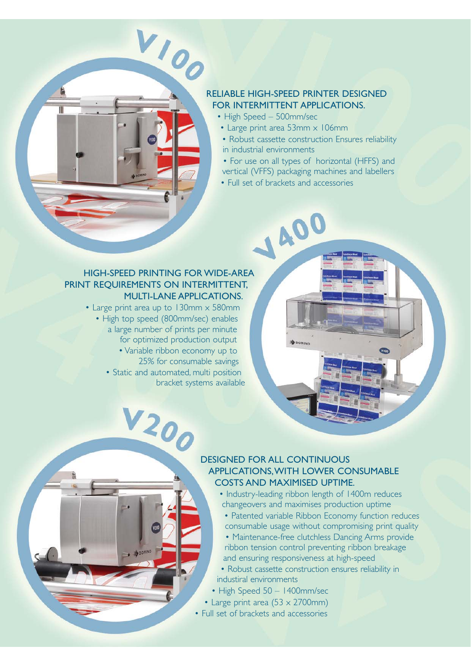#### RELIABLE HIGH-SPEED PRINTER DESIGNED FOR INTERMITTENT APPLICATIONS.

- High Speed 500mm/sec
- Large print area 53mm x 106mm
- Robust cassette construction Ensures reliability in industrial environments
- For use on all types of horizontal (HFFS) and
- vertical (VFFS) packaging machines and labellers
- Full set of brackets and accessories

1400

#### HIGH-SPEED PRINTING FOR WIDE-AREA PRINT REQUIREMENTS ON INTERMITTENT, MULTI-LANE APPLICATIONS.

VIOO

π

• Large print area up to 130mm x 580mm • High top speed (800mm/sec) enables a large number of prints per minute for optimized production output

V200

• Variable ribbon economy up to 25% for consumable savings • Static and automated, multi position

bracket systems available

#### DESIGNED FOR ALL CONTINUOUS APPLICATIONS,WITH LOWER CONSUMABLE COSTS AND MAXIMISED UPTIME.

- Industry-leading ribbon length of 1400m reduces changeovers and maximises production uptime
- Patented variable Ribbon Economy function reduces consumable usage without compromising print quality
- Maintenance-free clutchless Dancing Arms provide ribbon tension control preventing ribbon breakage and ensuring responsiveness at high-speed
- Robust cassette construction ensures reliability in industiral environments
- High Speed 50 1400mm/sec
- Large print area  $(53 \times 2700$ mm)
- Full set of brackets and accessories